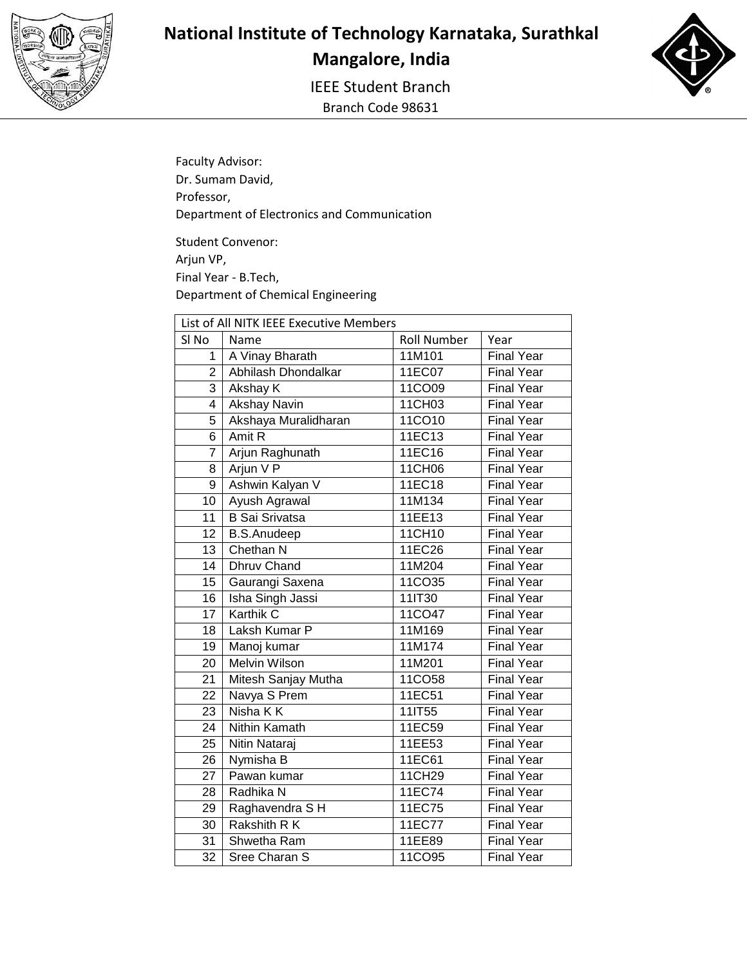

IEEE Student Branch Branch Code 98631



Faculty Advisor: Dr. Sumam David, Professor, Department of Electronics and Communication

Student Convenor: Arjun VP, Final Year - B.Tech, Department of Chemical Engineering

| List of All NITK IEEE Executive Members |                       |                    |                   |  |
|-----------------------------------------|-----------------------|--------------------|-------------------|--|
| SI <sub>No</sub>                        | Name                  | <b>Roll Number</b> | Year              |  |
| 1                                       | A Vinay Bharath       | 11M101             | <b>Final Year</b> |  |
| $\overline{2}$                          | Abhilash Dhondalkar   | 11EC07             | <b>Final Year</b> |  |
| 3                                       | Akshay K              | 11CO09             | <b>Final Year</b> |  |
| $\overline{4}$                          | <b>Akshay Navin</b>   | 11CH03             | Final Year        |  |
| $\overline{5}$                          | Akshaya Muralidharan  | 11CO10             | <b>Final Year</b> |  |
| 6                                       | Amit R                | 11EC13             | <b>Final Year</b> |  |
| $\overline{7}$                          | Arjun Raghunath       | 11EC16             | <b>Final Year</b> |  |
| 8                                       | Arjun V P             | 11CH06             | <b>Final Year</b> |  |
| 9                                       | Ashwin Kalyan V       | 11EC18             | <b>Final Year</b> |  |
| 10                                      | Ayush Agrawal         | 11M134             | <b>Final Year</b> |  |
| 11                                      | <b>B</b> Sai Srivatsa | 11EE13             | <b>Final Year</b> |  |
| 12                                      | <b>B.S.Anudeep</b>    | 11CH10             | <b>Final Year</b> |  |
| 13                                      | Chethan N             | 11EC26             | <b>Final Year</b> |  |
| 14                                      | <b>Dhruv Chand</b>    | 11M204             | <b>Final Year</b> |  |
| 15 <sup>15</sup>                        | Gaurangi Saxena       | 11CO35             | <b>Final Year</b> |  |
| 16                                      | Isha Singh Jassi      | 11IT30             | <b>Final Year</b> |  |
| 17                                      | <b>Karthik C</b>      | 11CO47             | <b>Final Year</b> |  |
| 18                                      | Laksh Kumar P         | 11M169             | <b>Final Year</b> |  |
| 19                                      | Manoj kumar           | 11M174             | <b>Final Year</b> |  |
| 20                                      | <b>Melvin Wilson</b>  | 11M201             | <b>Final Year</b> |  |
| $\overline{21}$                         | Mitesh Sanjay Mutha   | 11CO58             | <b>Final Year</b> |  |
| 22                                      | Navya S Prem          | 11EC51             | <b>Final Year</b> |  |
| 23                                      | Nisha K K             | 111T55             | <b>Final Year</b> |  |
| 24                                      | <b>Nithin Kamath</b>  | 11EC59             | <b>Final Year</b> |  |
| 25                                      | Nitin Nataraj         | 11EE53             | <b>Final Year</b> |  |
| 26                                      | Nymisha B             | 11EC61             | <b>Final Year</b> |  |
| $\overline{27}$                         | Pawan kumar           | 11CH29             | <b>Final Year</b> |  |
| 28                                      | Radhika N             | 11EC74             | <b>Final Year</b> |  |
| 29                                      | Raghavendra SH        | 11EC75             | <b>Final Year</b> |  |
| 30                                      | Rakshith R K          | 11EC77             | <b>Final Year</b> |  |
| $\overline{31}$                         | Shwetha Ram           | 11EE89             | <b>Final Year</b> |  |
| $\overline{32}$                         | Sree Charan S         | 11CO95             | <b>Final Year</b> |  |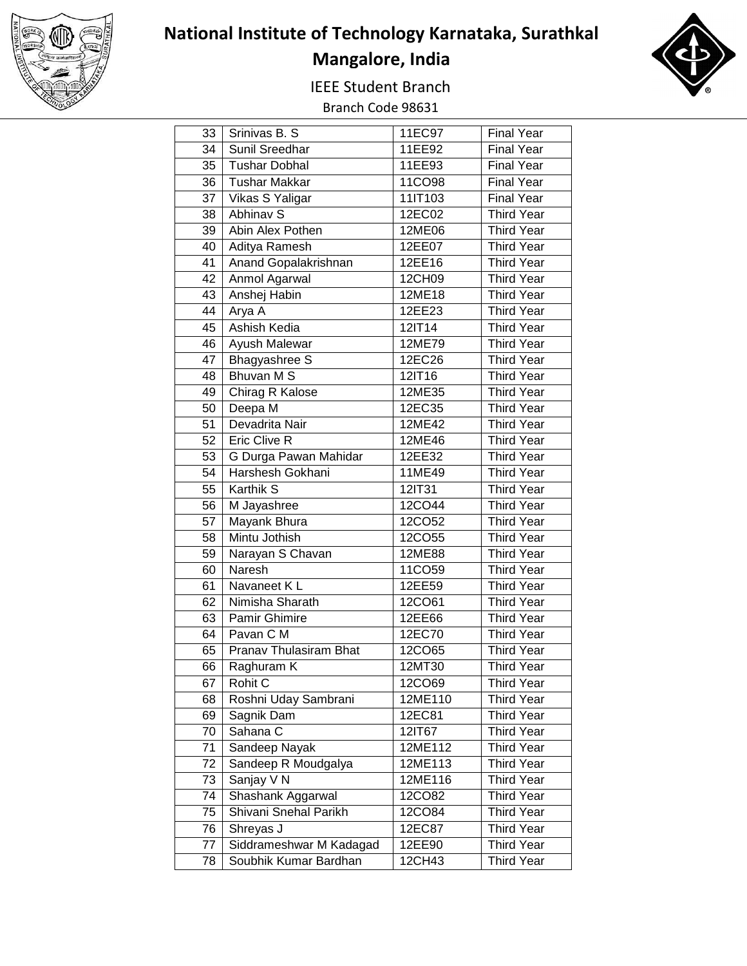

## **National Institute of Technology Karnataka, Surathkal Mangalore, India**

IEEE Student Branch



Branch Code 98631

| 33 | Srinivas B. S.          | 11EC97  | <b>Final Year</b> |
|----|-------------------------|---------|-------------------|
| 34 | <b>Sunil Sreedhar</b>   | 11EE92  | <b>Final Year</b> |
| 35 | <b>Tushar Dobhal</b>    | 11EE93  | <b>Final Year</b> |
| 36 | <b>Tushar Makkar</b>    | 11CO98  | <b>Final Year</b> |
| 37 | Vikas S Yaligar         | 11IT103 | <b>Final Year</b> |
| 38 | Abhinav S               | 12EC02  | <b>Third Year</b> |
| 39 | Abin Alex Pothen        | 12ME06  | <b>Third Year</b> |
| 40 | Aditya Ramesh           | 12EE07  | <b>Third Year</b> |
| 41 | Anand Gopalakrishnan    | 12EE16  | <b>Third Year</b> |
| 42 | <b>Anmol Agarwal</b>    | 12CH09  | <b>Third Year</b> |
| 43 | Anshej Habin            | 12ME18  | <b>Third Year</b> |
| 44 | Arya A                  | 12EE23  | <b>Third Year</b> |
| 45 | <b>Ashish Kedia</b>     | 12IT14  | <b>Third Year</b> |
| 46 | Ayush Malewar           | 12ME79  | <b>Third Year</b> |
| 47 | Bhagyashree S           | 12EC26  | <b>Third Year</b> |
| 48 | <b>Bhuvan MS</b>        | 12IT16  | <b>Third Year</b> |
| 49 | Chirag R Kalose         | 12ME35  | <b>Third Year</b> |
| 50 | Deepa M                 | 12EC35  | <b>Third Year</b> |
| 51 | Devadrita Nair          | 12ME42  | <b>Third Year</b> |
| 52 | Eric Clive R            | 12ME46  | <b>Third Year</b> |
| 53 | G Durga Pawan Mahidar   | 12EE32  | <b>Third Year</b> |
| 54 | Harshesh Gokhani        | 11ME49  | <b>Third Year</b> |
| 55 | Karthik S               | 12IT31  | <b>Third Year</b> |
| 56 | M Jayashree             | 12CO44  | <b>Third Year</b> |
| 57 | Mayank Bhura            | 12CO52  | <b>Third Year</b> |
| 58 | Mintu Jothish           | 12CO55  | <b>Third Year</b> |
| 59 | Narayan S Chavan        | 12ME88  | <b>Third Year</b> |
| 60 | Naresh                  | 11CO59  | <b>Third Year</b> |
| 61 | Navaneet K L            | 12EE59  | <b>Third Year</b> |
| 62 | Nimisha Sharath         | 12CO61  | <b>Third Year</b> |
| 63 | Pamir Ghimire           | 12EE66  | <b>Third Year</b> |
| 64 | Pavan C M               | 12EC70  | <b>Third Year</b> |
| 65 | Pranav Thulasiram Bhat  | 12CO65  | <b>Third Year</b> |
|    | 66   Raghuram K         | 12MT30  | <b>Third Year</b> |
| 67 | Rohit C                 | 12CO69  | <b>Third Year</b> |
| 68 | Roshni Uday Sambrani    | 12ME110 | <b>Third Year</b> |
| 69 | Sagnik Dam              | 12EC81  | <b>Third Year</b> |
| 70 | Sahana C                | 12IT67  | <b>Third Year</b> |
| 71 | Sandeep Nayak           | 12ME112 | <b>Third Year</b> |
| 72 | Sandeep R Moudgalya     | 12ME113 | <b>Third Year</b> |
| 73 | Sanjay V N              | 12ME116 | <b>Third Year</b> |
| 74 | Shashank Aggarwal       | 12CO82  | <b>Third Year</b> |
| 75 | Shivani Snehal Parikh   | 12CO84  | <b>Third Year</b> |
| 76 | Shreyas J               | 12EC87  | <b>Third Year</b> |
| 77 | Siddrameshwar M Kadagad | 12EE90  | <b>Third Year</b> |
| 78 | Soubhik Kumar Bardhan   | 12CH43  | <b>Third Year</b> |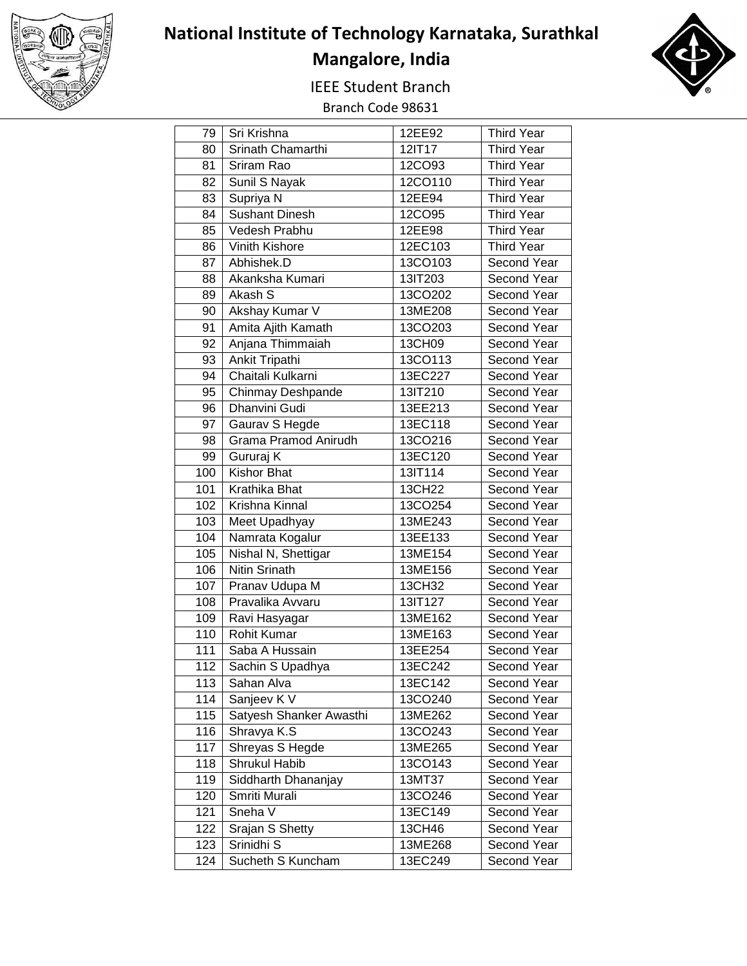

## **National Institute of Technology Karnataka, Surathkal Mangalore, India**

IEEE Student Branch





| 79               | Sri Krishna             | 12EE92  | <b>Third Year</b> |
|------------------|-------------------------|---------|-------------------|
| 80               | Srinath Chamarthi       | 12IT17  | <b>Third Year</b> |
| 81               | Sriram Rao              | 12CO93  | <b>Third Year</b> |
| 82               | Sunil S Nayak           | 12CO110 | <b>Third Year</b> |
| 83               | Supriya N               | 12EE94  | <b>Third Year</b> |
| 84               | <b>Sushant Dinesh</b>   | 12CO95  | <b>Third Year</b> |
| 85               | Vedesh Prabhu           | 12EE98  | <b>Third Year</b> |
| 86               | Vinith Kishore          | 12EC103 | <b>Third Year</b> |
| 87               | Abhishek.D              | 13CO103 | Second Year       |
| 88               | Akanksha Kumari         | 13IT203 | Second Year       |
| 89               | Akash S                 | 13CO202 | Second Year       |
| 90               | Akshay Kumar V          | 13ME208 | Second Year       |
| 91               | Amita Ajith Kamath      | 13CO203 | Second Year       |
| 92               | Anjana Thimmaiah        | 13CH09  | Second Year       |
| 93               | Ankit Tripathi          | 13CO113 | Second Year       |
| $\overline{94}$  | Chaitali Kulkarni       | 13EC227 | Second Year       |
| 95               | Chinmay Deshpande       | 13IT210 | Second Year       |
| 96               | Dhanvini Gudi           | 13EE213 | Second Year       |
| 97               | Gaurav S Hegde          | 13EC118 | Second Year       |
| 98               | Grama Pramod Anirudh    | 13CO216 | Second Year       |
| 99               | Gururaj K               | 13EC120 | Second Year       |
| 100              | <b>Kishor Bhat</b>      | 13IT114 | Second Year       |
| 101              | Krathika Bhat           | 13CH22  | Second Year       |
| 102              | Krishna Kinnal          | 13CO254 | Second Year       |
| 103              | Meet Upadhyay           | 13ME243 | Second Year       |
| 104              | Namrata Kogalur         | 13EE133 | Second Year       |
| 105              | Nishal N, Shettigar     | 13ME154 | Second Year       |
| 106              | Nitin Srinath           | 13ME156 | Second Year       |
| 107              | Pranav Udupa M          | 13CH32  | Second Year       |
| 108              | Pravalika Avvaru        | 13IT127 | Second Year       |
| 109              | Ravi Hasyagar           | 13ME162 | Second Year       |
| 110              | <b>Rohit Kumar</b>      | 13ME163 | Second Year       |
| 111              | Saba A Hussain          | 13EE254 | Second Year       |
| 112              | Sachin S Upadhya        | 13EC242 | Second Year       |
| 113              | Sahan Alva              | 13EC142 | Second Year       |
| 114              | Sanjeev K V             | 13CO240 | Second Year       |
| 115              | Satyesh Shanker Awasthi | 13ME262 | Second Year       |
| 116              | Shravya K.S             | 13CO243 | Second Year       |
| $\overline{1}17$ | Shreyas S Hegde         | 13ME265 | Second Year       |
| 118              | <b>Shrukul Habib</b>    | 13CO143 | Second Year       |
| 119              | Siddharth Dhananjay     | 13MT37  | Second Year       |
| 120              | Smriti Murali           | 13CO246 | Second Year       |
| 121              | Sneha V                 | 13EC149 | Second Year       |
| 122              | Srajan S Shetty         | 13CH46  | Second Year       |
| 123              | Srinidhi <sub>S</sub>   | 13ME268 | Second Year       |
| 124              | Sucheth S Kuncham       | 13EC249 | Second Year       |